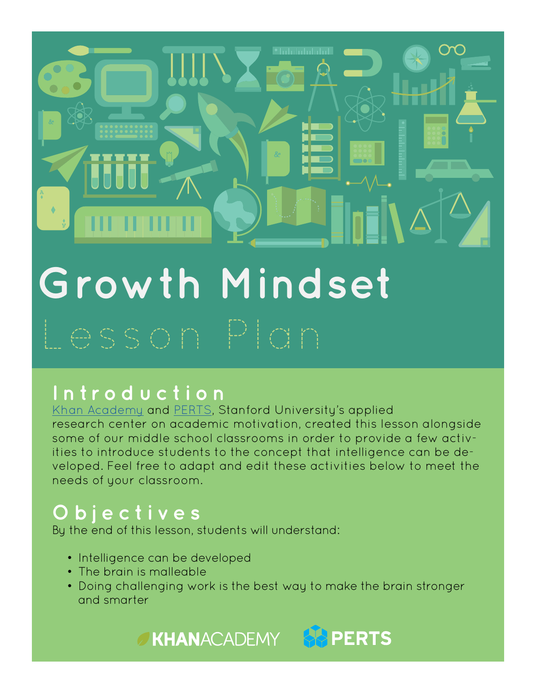# >

# **Growth Mindset**

#### **Introduction**

[Khan Academy](https://www.khanacademy.org/) and [PERTS,](https://www.perts.net/) Stanford University's applied research center on academic motivation, created this lesson alongside some of our middle school classrooms in order to provide a few activities to introduce students to the concept that intelligence can be developed. Feel free to adapt and edit these activities below to meet the needs of your classroom.

#### **Objectives**

By the end of this lesson, students will understand:

- Intelligence can be developed
- The brain is malleable
- Doing challenging work is the best way to make the brain stronger and smarter

#### **EXHANACADEMY & PERTS**

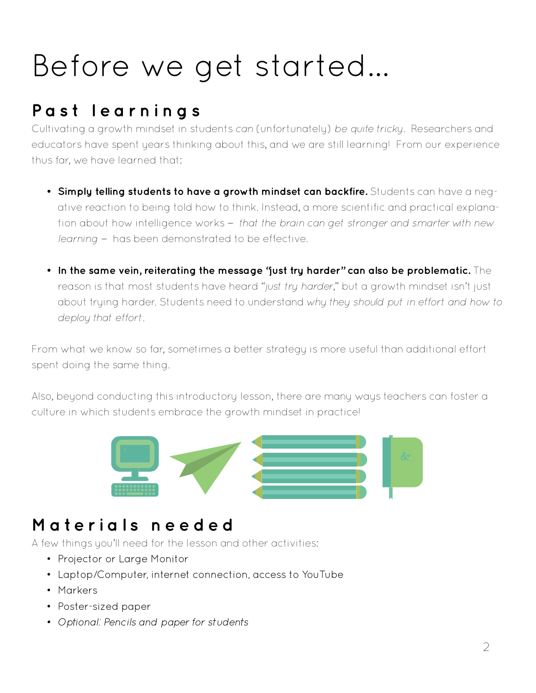## Before we get started...

#### **Past learnings**

Cultivating a growth mindset in students *can* (unfortunately) *be quite tricky*. Researchers and educators have spent years thinking about this, and we are still learning! From our experience thus far, we have learned that:

- **• Simply telling students to have a growth mindset can backfire.** Students can have a negative reaction to being told how to think. Instead, a more scientific and practical explanation about how intelligence works — *that the brain can get stronger and smarter with new learning* — has been demonstrated to be effective.
- **• In the same vein, reiterating the message "just try harder" can also be problematic.** The reason is that most students have heard "*just try harder*," but a growth mindset isn't just about trying harder. Students need to understand *why they should put in effort and how to deploy that effort*.

From what we know so far, sometimes a better strategy is more useful than additional effort spent doing the same thing.

Also, beyond conducting this introductory lesson, there are many ways teachers can foster a culture in which students embrace the growth mindset in practice!



#### **Materials needed**

A few things you'll need for the lesson and other activities:

- Projector or Large Monitor
- Laptop/Computer, internet connection, access to YouTube
- Markers
- Poster-sized paper
- *• Optional: Pencils and paper for students*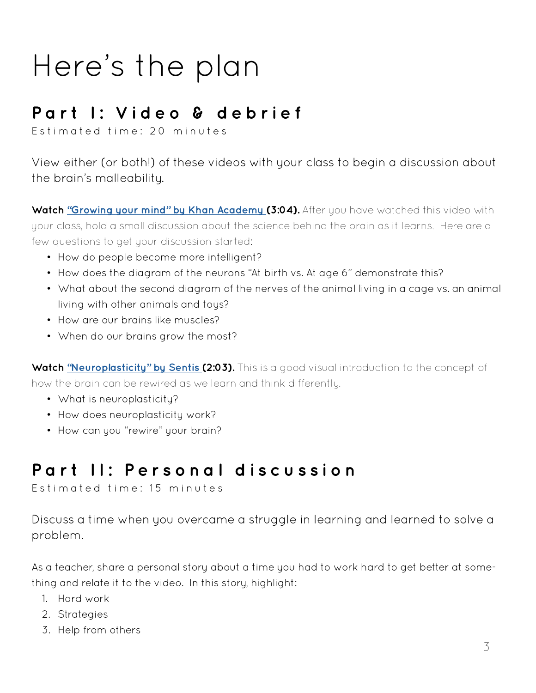### Here's the plan

#### **Part I: Video & debrief**

Estimated time: 20 minutes

View either (or both!) of these videos with your class to begin a discussion about the brain's malleability.

**Watch ["Growing your mind" by Khan Academy](https://www.youtube.com/watch?v=WtKJrB5rOKs) (3:04).** After you have watched this video with your class, hold a small discussion about the science behind the brain as it learns. Here are a few questions to get your discussion started:

- How do people become more intelligent?
- How does the diagram of the neurons "At birth vs. At age 6" demonstrate this?
- What about the second diagram of the nerves of the animal living in a cage vs. an animal living with other animals and tous?
- How are our brains like muscles?
- When do our brains grow the most?

**Watch ["Neuroplasticity" by Sentis \(](https://www.youtube.com/watch?v=ELpfYCZa87g)2:03).** This is a good visual introduction to the concept of how the brain can be rewired as we learn and think differently.

- What is neuroplasticity?
- How does neuroplasticity work?
- How can you "rewire" your brain?

#### **Part II: Personal discussion**

Estimated time: 15 minutes

Discuss a time when you overcame a struggle in learning and learned to solve a problem.

As a teacher, share a personal story about a time you had to work hard to get better at something and relate it to the video. In this story, highlight:

- 1. Hard work
- 2. Strategies
- 3. Help from others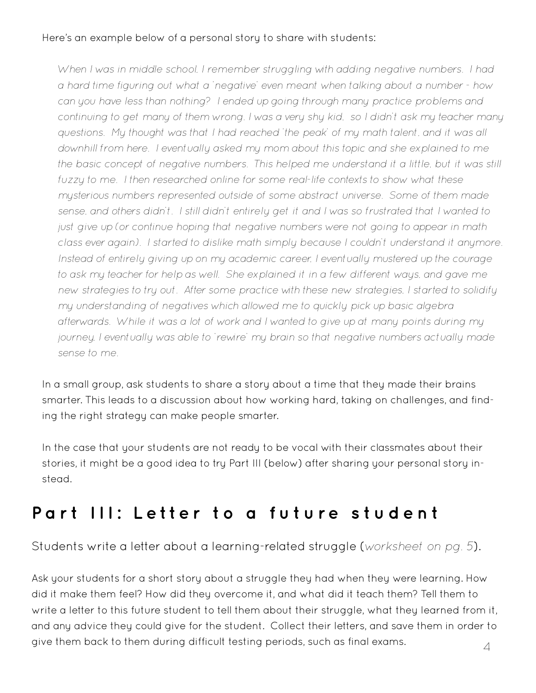#### Here's an example below of a personal story to share with students:

*When I was in middle school, I remember struggling with adding negative numbers. I had a hard time figuring out what a 'negative' even meant when talking about a number - how can you have less than nothing? I ended up going through many practice problems and continuing to get many of them wrong. I was a very shy kid, so I didn't ask my teacher many questions. My thought was that I had reached 'the peak' of my math talent, and it was all downhill from here. I eventually asked my mom about this topic and she explained to me the basic concept of negative numbers. This helped me understand it a little, but it was still*  fuzzy to me. I then researched online for some real-life contexts to show what these *mysterious numbers represented outside of some abstract universe. Some of them made sense, and others didn't. I still didn't entirely get it and I was so frustrated that I wanted to just give up (or continue hoping that negative numbers were not going to appear in math class ever again). I started to dislike math simply because I couldn't understand it anymore. Instead of entirely giving up on my academic career, I eventually mustered up the courage to ask my teacher for help as well. She explained it in a few different ways, and gave me new strategies to try out. After some practice with these new strategies, I started to solidify my understanding of negatives which allowed me to quickly pick up basic algebra afterwards. While it was a lot of work and I wanted to give up at many points during my journey, I eventually was able to 'rewire' my brain so that negative numbers actually made sense to me.*

In a small group, ask students to share a story about a time that they made their brains smarter. This leads to a discussion about how working hard, taking on challenges, and finding the right strategy can make people smarter.

In the case that your students are not ready to be vocal with their classmates about their stories, it might be a good idea to try Part III (below) after sharing your personal story instead.

#### **Part III: Letter to a future student**

Students write a letter about a learning-related struggle (*worksheet on pg. 5*).

Ask your students for a short story about a struggle they had when they were learning. How did it make them feel? How did they overcome it, and what did it teach them? Tell them to write a letter to this future student to tell them about their struggle, what they learned from it, and any advice they could give for the student. Collect their letters, and save them in order to give them back to them during difficult testing periods, such as final exams.  $\hfill\Delta$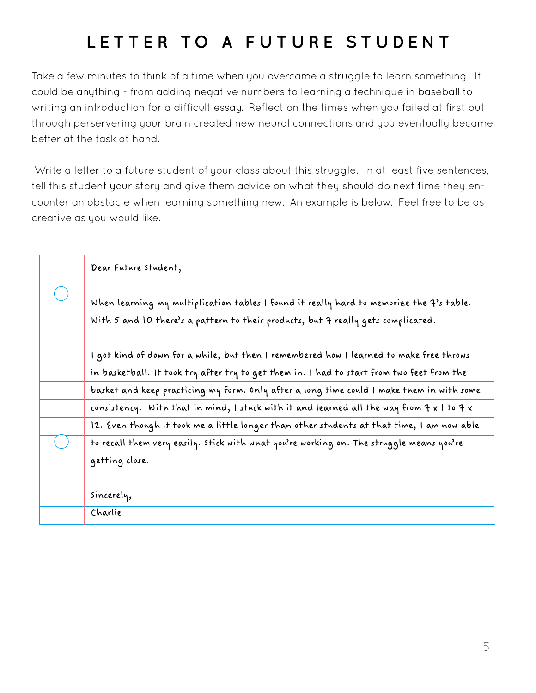#### **LETTER TO A FUTURE STUDENT**

Take a few minutes to think of a time when you overcame a struggle to learn something. It could be anything - from adding negative numbers to learning a technique in baseball to writing an introduction for a difficult essay. Reflect on the times when you failed at first but through perservering your brain created new neural connections and you eventually became better at the task at hand.

 Write a letter to a future student of your class about this struggle. In at least five sentences, tell this student your story and give them advice on what they should do next time they encounter an obstacle when learning something new. An example is below. Feel free to be as creative as you would like.

| Dear Future Student,                                                                                                                  |
|---------------------------------------------------------------------------------------------------------------------------------------|
|                                                                                                                                       |
| When learning my multiplication tables I found it really hard to memorize the 7's table.                                              |
| With 5 and 10 there's a pattern to their products, but 7 really gets complicated.                                                     |
|                                                                                                                                       |
| I got kind of down for a while, but then I remembered how I learned to make free throws                                               |
| in basketball. It took try after try to get them in. I had to start from two feet from the                                            |
| basket and keep practicing my form. Only after a long time could I make them in with some                                             |
| consistency. With that in mind, I stuck with it and learned all the way from $\mathcal{F} \times \mathcal{F}$ to $\mathcal{F} \times$ |
| 12. Even though it took me a little longer than other students at that time, I am now able                                            |
| to recall them very easily. Stick with what you're working on. The struggle means you're                                              |
| getting close.                                                                                                                        |
|                                                                                                                                       |
| sincerely,                                                                                                                            |
| Charlie                                                                                                                               |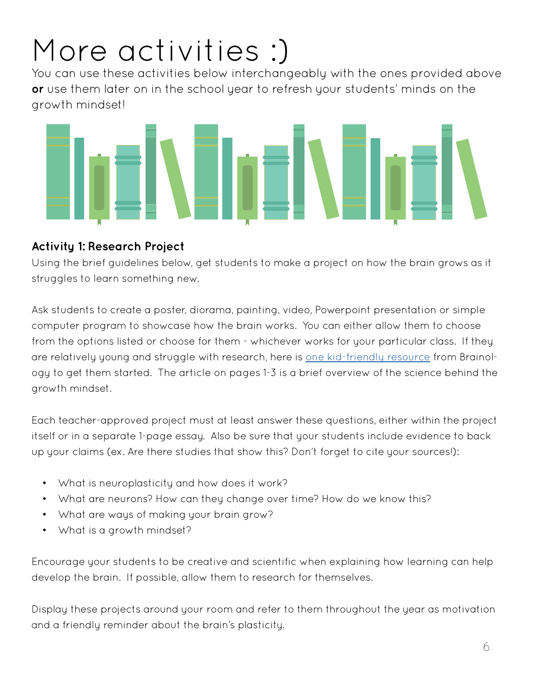# More activities :)

You can use these activities below interchangeably with the ones provided above **or** use them later on in the school year to refresh your students' minds on the growth mindset!



#### **Activity 1: Research Project**

Using the brief guidelines below, get students to make a project on how the brain grows as it struggles to learn something new.

Ask students to create a poster, diorama, painting, video, Powerpoint presentation or simple computer program to showcase how the brain works. You can either allow them to choose from the options listed or choose for them - whichever works for your particular class. If they are relatively young and struggle with research, here is [one kid-friendly resource](http://schools.nyc.gov/NR/rdonlyres/C7BD7406-040C-42FA-B44C-2FCF72EB819C/0/GrowYourIntelligenceArticleandActivity.pdf) from Brainology to get them started. The article on pages 1-3 is a brief overview of the science behind the growth mindset.

Each teacher-approved project must at least answer these questions, either within the project itself or in a separate 1-page essay. Also be sure that your students include evidence to back up your claims (ex. Are there studies that show this? Don't forget to cite your sources!):

- What is neuroplasticity and how does it work?
- What are neurons? How can they change over time? How do we know this?
- What are ways of making your brain grow?
- What is a growth mindset?

Encourage your students to be creative and scientific when explaining how learning can help develop the brain. If possible, allow them to research for themselves.

Display these projects around your room and refer to them throughout the year as motivation and a friendly reminder about the brain's plasticity.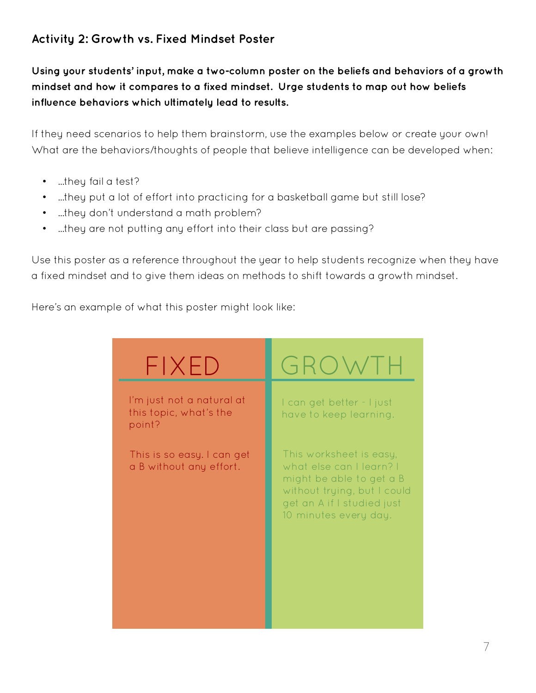#### **Activity 2: Growth vs. Fixed Mindset Poster**

**Using your students' input, make a two-column poster on the beliefs and behaviors of a growth mindset and how it compares to a fixed mindset. Urge students to map out how beliefs influence behaviors which ultimately lead to results.** 

If they need scenarios to help them brainstorm, use the examples below or create your own! What are the behaviors/thoughts of people that believe intelligence can be developed when:

- ...they fail a test?
- ...they put a lot of effort into practicing for a basketball game but still lose?
- ...they don't understand a math problem?
- ...they are not putting any effort into their class but are passing?

Use this poster as a reference throughout the year to help students recognize when they have a fixed mindset and to give them ideas on methods to shift towards a growth mindset.

Here's an example of what this poster might look like:

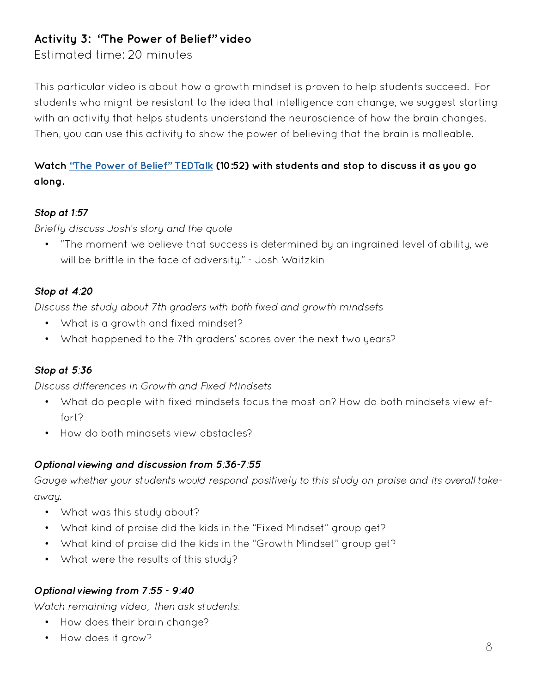#### **Activity 3: "The Power of Belief" video**

Estimated time: 20 minutes

This particular video is about how a growth mindset is proven to help students succeed. For students who might be resistant to the idea that intelligence can change, we suggest starting with an activity that helps students understand the neuroscience of how the brain changes. Then, you can use this activity to show the power of believing that the brain is malleable.

#### **Watch ["The Power of Belief" TEDTalk](https://www.youtube.com/watch?v=pN34FNbOKXc) (10:52) with students and stop to discuss it as you go along.**

#### *Stop at 1:57*

*Briefly discuss Josh's story and the quote*

• "The moment we believe that success is determined by an ingrained level of ability, we will be brittle in the face of adversity." - Josh Waitzkin

#### *Stop at 4:20*

*Discuss the study about 7th graders with both fixed and growth mindsets*

- What is a growth and fixed mindset?
- What happened to the 7th graders' scores over the next two years?

#### *Stop at 5:36*

*Discuss differences in Growth and Fixed Mindsets* 

- What do people with fixed mindsets focus the most on? How do both mindsets view effort?
- How do both mindsets view obstacles?

#### *Optional viewing and discussion from 5:36-7:55*

*Gauge whether your students would respond positively to this study on praise and its overall takeaway.*

- What was this study about?
- What kind of praise did the kids in the "Fixed Mindset" group get?
- What kind of praise did the kids in the "Growth Mindset" group get?
- What were the results of this study?

#### *Optional viewing from 7:55 - 9:40*

*Watch remaining video, then ask students:*

- How does their brain change?
- How does it grow?  $\upbeta$